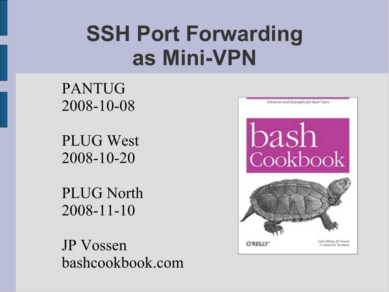### **SSH Port Forwarding as Mini-VPN**

#### PANTUG 2008-10-08

PLUG West 2008-10-20

PLUG North 2008-11-10

JP Vossen bashcookbook.com

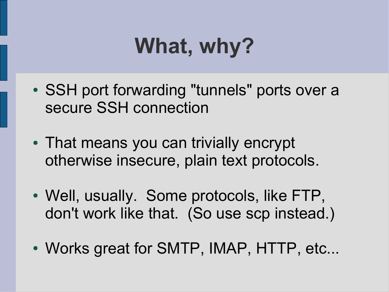# **What, why?**

- SSH port forwarding "tunnels" ports over a secure SSH connection
- That means you can trivially encrypt otherwise insecure, plain text protocols.
- Well, usually. Some protocols, like FTP, don't work like that. (So use scp instead.)
- Works great for SMTP, IMAP, HTTP, etc...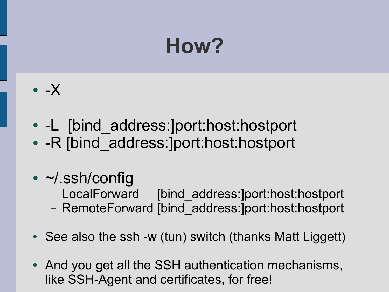## **How?**

- $\bullet$  -X
- -L [bind address:]port:host:hostport
- -R [bind\_address:]port:host:hostport
- $\cdot$   $\sim$ /.ssh/config
	- LocalForward [bind\_address:]port:host:hostport
	- RemoteForward [bind\_address:]port:host:hostport
- See also the ssh -w (tun) switch (thanks Matt Liggett)
- And you get all the SSH authentication mechanisms, like SSH-Agent and certificates, for free!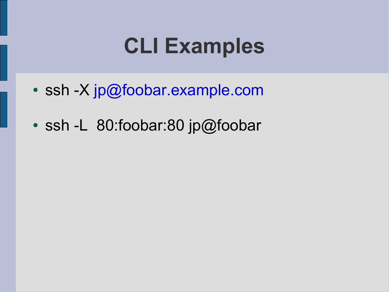#### **CLI Examples**

- ssh -X [jp@foobar.example.com](mailto:jp@foobar.example.com)
- $\cdot$  ssh -L 80:foobar:80 jp@foobar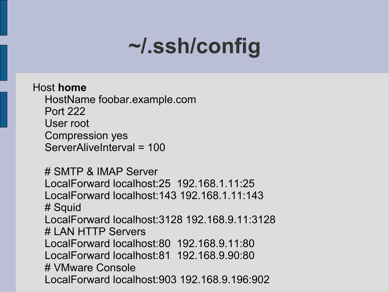## **~/.ssh/config**

Host **home** HostName foobar.example.com Port 222 User root Compression yes ServerAliveInterval = 100

 # SMTP & IMAP Server LocalForward localhost:25 192.168.1.11:25 LocalForward localhost:143 192.168.1.11:143 # Squid LocalForward localhost:3128 192.168.9.11:3128 # LAN HTTP Servers LocalForward localhost:80 192.168.9.11:80 LocalForward localhost:81 192.168.9.90:80 # VMware Console LocalForward localhost:903 192.168.9.196:902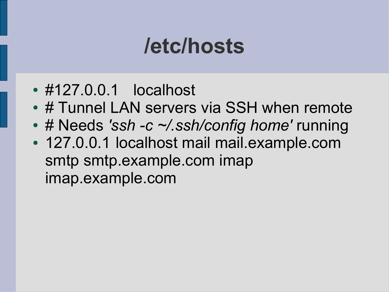### **/etc/hosts**

- #127.0.0.1 localhost
- # Tunnel LAN servers via SSH when remote
- # Needs 'ssh -c ~/.ssh/config home' running
- 127.0.0.1 localhost mail mail.example.com smtp smtp.example.com imap imap.example.com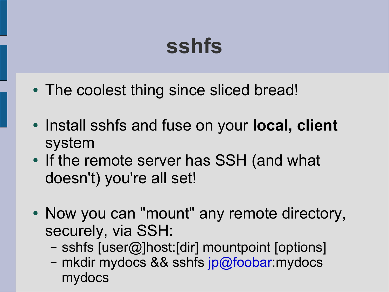### **sshfs**

- The coolest thing since sliced bread!
- Install sshfs and fuse on your **local, client** system
- If the remote server has SSH (and what doesn't) you're all set!
- Now you can "mount" any remote directory, securely, via SSH:
	- sshfs [user@]host:[dir] mountpoint [options]
	- mkdir mydocs && sshfs [jp@foobar:](mailto:jp@foobar)mydocs mydocs